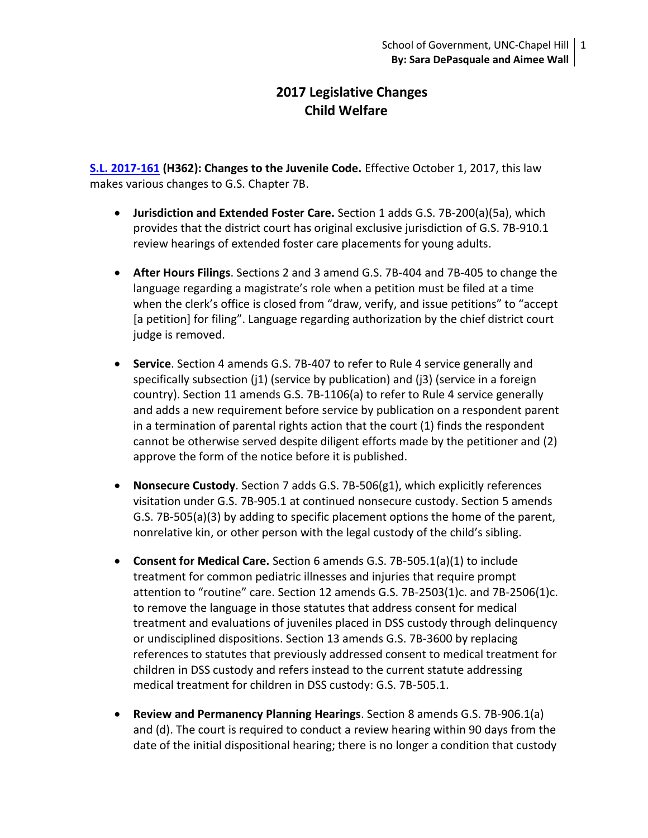# **2017 Legislative Changes Child Welfare**

**[S.L. 2017-161](http://ncleg.net/Sessions/2017/Bills/House/PDF/H362v6.pdf) (H362): Changes to the Juvenile Code.** Effective October 1, 2017, this law makes various changes to G.S. Chapter 7B.

- **Jurisdiction and Extended Foster Care.** Section 1 adds G.S. 7B-200(a)(5a), which provides that the district court has original exclusive jurisdiction of G.S. 7B-910.1 review hearings of extended foster care placements for young adults.
- **After Hours Filings**. Sections 2 and 3 amend G.S. 7B-404 and 7B-405 to change the language regarding a magistrate's role when a petition must be filed at a time when the clerk's office is closed from "draw, verify, and issue petitions" to "accept [a petition] for filing". Language regarding authorization by the chief district court judge is removed.
- **Service**. Section 4 amends G.S. 7B-407 to refer to Rule 4 service generally and specifically subsection (j1) (service by publication) and (j3) (service in a foreign country). Section 11 amends G.S. 7B-1106(a) to refer to Rule 4 service generally and adds a new requirement before service by publication on a respondent parent in a termination of parental rights action that the court (1) finds the respondent cannot be otherwise served despite diligent efforts made by the petitioner and (2) approve the form of the notice before it is published.
- **Nonsecure Custody**. Section 7 adds G.S. 7B-506(g1), which explicitly references visitation under G.S. 7B-905.1 at continued nonsecure custody. Section 5 amends G.S. 7B-505(a)(3) by adding to specific placement options the home of the parent, nonrelative kin, or other person with the legal custody of the child's sibling.
- **Consent for Medical Care.** Section 6 amends G.S. 7B-505.1(a)(1) to include treatment for common pediatric illnesses and injuries that require prompt attention to "routine" care. Section 12 amends G.S. 7B-2503(1)c. and 7B-2506(1)c. to remove the language in those statutes that address consent for medical treatment and evaluations of juveniles placed in DSS custody through delinquency or undisciplined dispositions. Section 13 amends G.S. 7B-3600 by replacing references to statutes that previously addressed consent to medical treatment for children in DSS custody and refers instead to the current statute addressing medical treatment for children in DSS custody: G.S. 7B-505.1.
- **Review and Permanency Planning Hearings**. Section 8 amends G.S. 7B-906.1(a) and (d). The court is required to conduct a review hearing within 90 days from the date of the initial dispositional hearing; there is no longer a condition that custody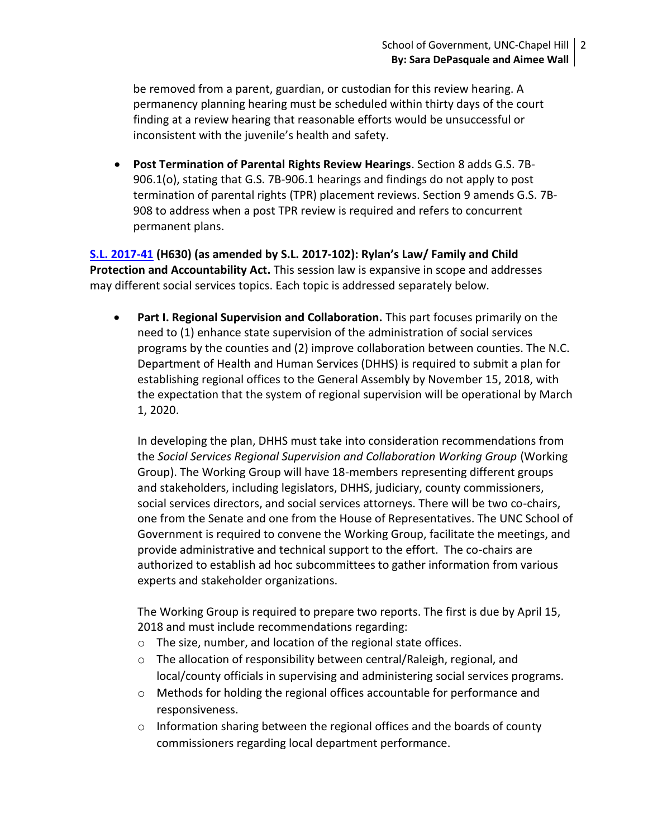be removed from a parent, guardian, or custodian for this review hearing. A permanency planning hearing must be scheduled within thirty days of the court finding at a review hearing that reasonable efforts would be unsuccessful or inconsistent with the juvenile's health and safety.

 **Post Termination of Parental Rights Review Hearings**. Section 8 adds G.S. 7B-906.1(o), stating that G.S. 7B-906.1 hearings and findings do not apply to post termination of parental rights (TPR) placement reviews. Section 9 amends G.S. 7B-908 to address when a post TPR review is required and refers to concurrent permanent plans.

**[S.L. 2017-41](http://www.ncleg.net/EnactedLegislation/SessionLaws/HTML/2017-2018/SL2017-41.html) (H630) (as amended by S.L. 2017-102): Rylan's Law/ Family and Child Protection and Accountability Act.** This session law is expansive in scope and addresses may different social services topics. Each topic is addressed separately below.

 **Part I. Regional Supervision and Collaboration.** This part focuses primarily on the need to (1) enhance state supervision of the administration of social services programs by the counties and (2) improve collaboration between counties. The N.C. Department of Health and Human Services (DHHS) is required to submit a plan for establishing regional offices to the General Assembly by November 15, 2018, with the expectation that the system of regional supervision will be operational by March 1, 2020.

In developing the plan, DHHS must take into consideration recommendations from the *Social Services Regional Supervision and Collaboration Working Group* (Working Group). The Working Group will have 18-members representing different groups and stakeholders, including legislators, DHHS, judiciary, county commissioners, social services directors, and social services attorneys. There will be two co-chairs, one from the Senate and one from the House of Representatives. The UNC School of Government is required to convene the Working Group, facilitate the meetings, and provide administrative and technical support to the effort. The co-chairs are authorized to establish ad hoc subcommittees to gather information from various experts and stakeholder organizations.

The Working Group is required to prepare two reports. The first is due by April 15, 2018 and must include recommendations regarding:

- o The size, number, and location of the regional state offices.
- o The allocation of responsibility between central/Raleigh, regional, and local/county officials in supervising and administering social services programs.
- o Methods for holding the regional offices accountable for performance and responsiveness.
- $\circ$  Information sharing between the regional offices and the boards of county commissioners regarding local department performance.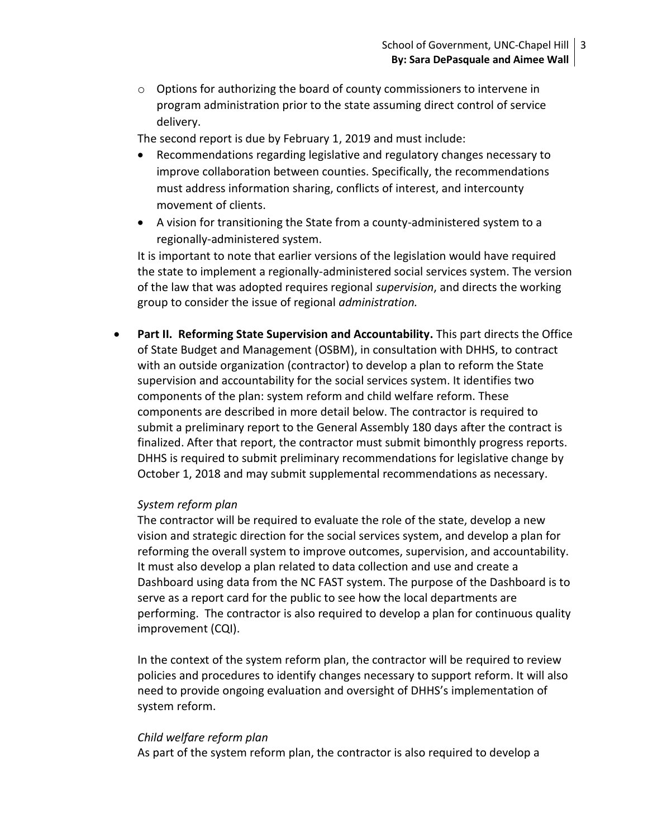$\circ$  Options for authorizing the board of county commissioners to intervene in program administration prior to the state assuming direct control of service delivery.

The second report is due by February 1, 2019 and must include:

- Recommendations regarding legislative and regulatory changes necessary to improve collaboration between counties. Specifically, the recommendations must address information sharing, conflicts of interest, and intercounty movement of clients.
- A vision for transitioning the State from a county-administered system to a regionally-administered system.

It is important to note that earlier versions of the legislation would have required the state to implement a regionally-administered social services system. The version of the law that was adopted requires regional *supervision*, and directs the working group to consider the issue of regional *administration.*

**Part II. Reforming State Supervision and Accountability.** This part directs the Office of State Budget and Management (OSBM), in consultation with DHHS, to contract with an outside organization (contractor) to develop a plan to reform the State supervision and accountability for the social services system. It identifies two components of the plan: system reform and child welfare reform. These components are described in more detail below. The contractor is required to submit a preliminary report to the General Assembly 180 days after the contract is finalized. After that report, the contractor must submit bimonthly progress reports. DHHS is required to submit preliminary recommendations for legislative change by October 1, 2018 and may submit supplemental recommendations as necessary.

# *System reform plan*

The contractor will be required to evaluate the role of the state, develop a new vision and strategic direction for the social services system, and develop a plan for reforming the overall system to improve outcomes, supervision, and accountability. It must also develop a plan related to data collection and use and create a Dashboard using data from the NC FAST system. The purpose of the Dashboard is to serve as a report card for the public to see how the local departments are performing. The contractor is also required to develop a plan for continuous quality improvement (CQI).

In the context of the system reform plan, the contractor will be required to review policies and procedures to identify changes necessary to support reform. It will also need to provide ongoing evaluation and oversight of DHHS's implementation of system reform.

### *Child welfare reform plan*

As part of the system reform plan, the contractor is also required to develop a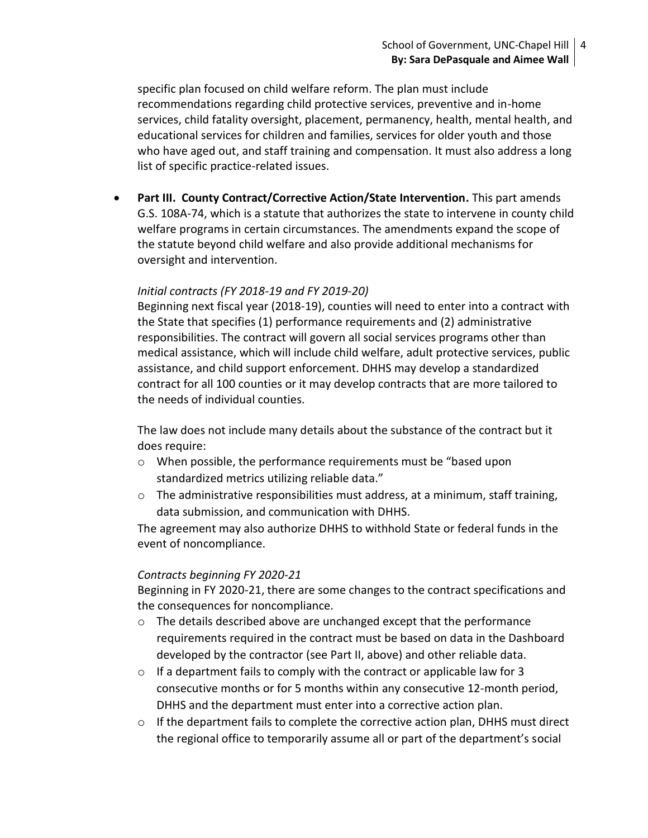specific plan focused on child welfare reform. The plan must include recommendations regarding child protective services, preventive and in-home services, child fatality oversight, placement, permanency, health, mental health, and educational services for children and families, services for older youth and those who have aged out, and staff training and compensation. It must also address a long list of specific practice-related issues.

**• Part III. County Contract/Corrective Action/State Intervention.** This part amends G.S. 108A-74, which is a statute that authorizes the state to intervene in county child welfare programs in certain circumstances. The amendments expand the scope of the statute beyond child welfare and also provide additional mechanisms for oversight and intervention.

# *Initial contracts (FY 2018-19 and FY 2019-20)*

Beginning next fiscal year (2018-19), counties will need to enter into a contract with the State that specifies (1) performance requirements and (2) administrative responsibilities. The contract will govern all social services programs other than medical assistance, which will include child welfare, adult protective services, public assistance, and child support enforcement. DHHS may develop a standardized contract for all 100 counties or it may develop contracts that are more tailored to the needs of individual counties.

The law does not include many details about the substance of the contract but it does require:

- o When possible, the performance requirements must be "based upon standardized metrics utilizing reliable data."
- $\circ$  The administrative responsibilities must address, at a minimum, staff training, data submission, and communication with DHHS.

The agreement may also authorize DHHS to withhold State or federal funds in the event of noncompliance.

# *Contracts beginning FY 2020-21*

Beginning in FY 2020-21, there are some changes to the contract specifications and the consequences for noncompliance.

- o The details described above are unchanged except that the performance requirements required in the contract must be based on data in the Dashboard developed by the contractor (see Part II, above) and other reliable data.
- o If a department fails to comply with the contract or applicable law for 3 consecutive months or for 5 months within any consecutive 12-month period, DHHS and the department must enter into a corrective action plan.
- $\circ$  If the department fails to complete the corrective action plan, DHHS must direct the regional office to temporarily assume all or part of the department's social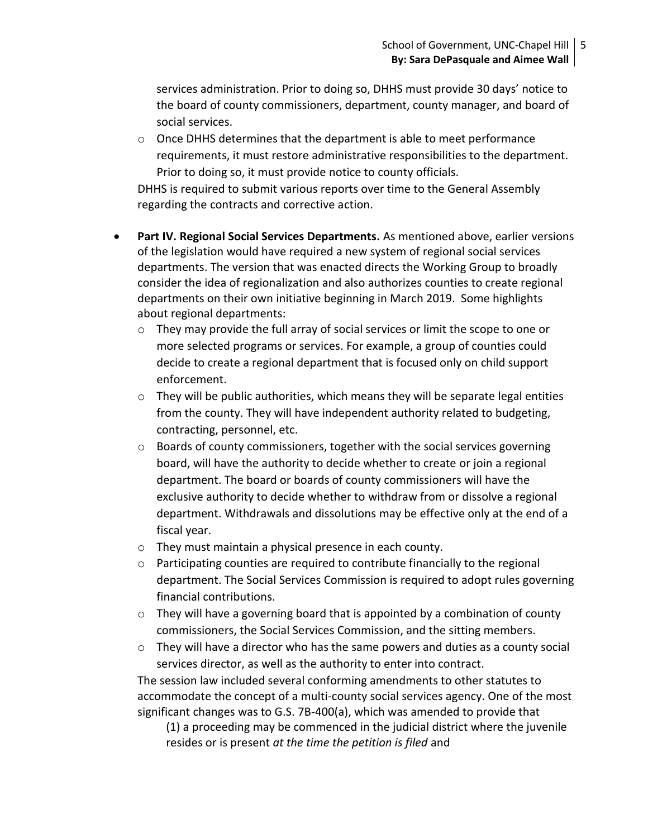services administration. Prior to doing so, DHHS must provide 30 days' notice to the board of county commissioners, department, county manager, and board of social services.

 $\circ$  Once DHHS determines that the department is able to meet performance requirements, it must restore administrative responsibilities to the department. Prior to doing so, it must provide notice to county officials.

DHHS is required to submit various reports over time to the General Assembly regarding the contracts and corrective action.

- **Part IV. Regional Social Services Departments.** As mentioned above, earlier versions of the legislation would have required a new system of regional social services departments. The version that was enacted directs the Working Group to broadly consider the idea of regionalization and also authorizes counties to create regional departments on their own initiative beginning in March 2019. Some highlights about regional departments:
	- $\circ$  They may provide the full array of social services or limit the scope to one or more selected programs or services. For example, a group of counties could decide to create a regional department that is focused only on child support enforcement.
	- $\circ$  They will be public authorities, which means they will be separate legal entities from the county. They will have independent authority related to budgeting, contracting, personnel, etc.
	- o Boards of county commissioners, together with the social services governing board, will have the authority to decide whether to create or join a regional department. The board or boards of county commissioners will have the exclusive authority to decide whether to withdraw from or dissolve a regional department. Withdrawals and dissolutions may be effective only at the end of a fiscal year.
	- o They must maintain a physical presence in each county.
	- $\circ$  Participating counties are required to contribute financially to the regional department. The Social Services Commission is required to adopt rules governing financial contributions.
	- $\circ$  They will have a governing board that is appointed by a combination of county commissioners, the Social Services Commission, and the sitting members.
	- $\circ$  They will have a director who has the same powers and duties as a county social services director, as well as the authority to enter into contract.

The session law included several conforming amendments to other statutes to accommodate the concept of a multi-county social services agency. One of the most significant changes was to G.S. 7B-400(a), which was amended to provide that

(1) a proceeding may be commenced in the judicial district where the juvenile resides or is present *at the time the petition is filed* and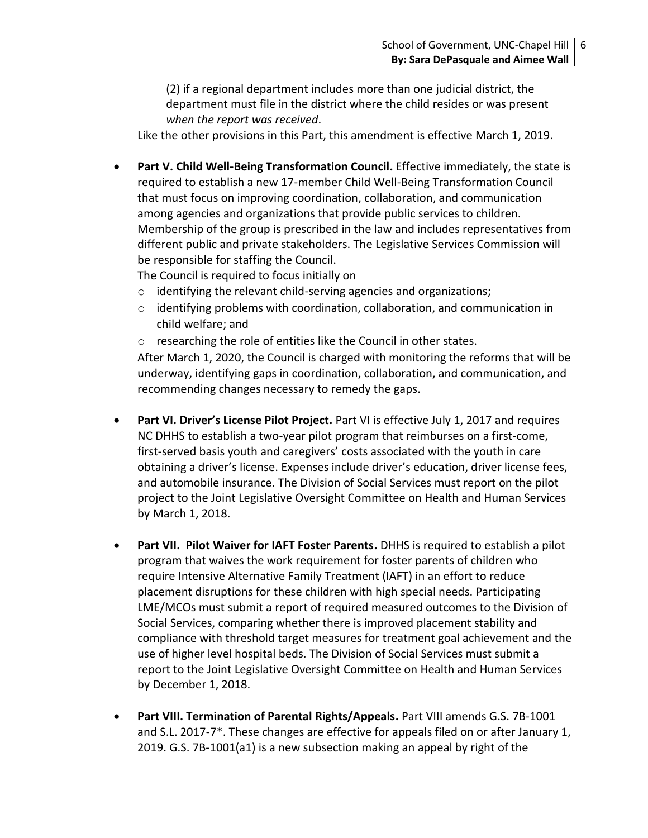(2) if a regional department includes more than one judicial district, the department must file in the district where the child resides or was present *when the report was received*.

Like the other provisions in this Part, this amendment is effective March 1, 2019.

**• Part V. Child Well-Being Transformation Council.** Effective immediately, the state is required to establish a new 17-member Child Well-Being Transformation Council that must focus on improving coordination, collaboration, and communication among agencies and organizations that provide public services to children. Membership of the group is prescribed in the law and includes representatives from different public and private stakeholders. The Legislative Services Commission will be responsible for staffing the Council.

The Council is required to focus initially on

- o identifying the relevant child-serving agencies and organizations;
- o identifying problems with coordination, collaboration, and communication in child welfare; and
- o researching the role of entities like the Council in other states.

After March 1, 2020, the Council is charged with monitoring the reforms that will be underway, identifying gaps in coordination, collaboration, and communication, and recommending changes necessary to remedy the gaps.

- **Part VI. Driver's License Pilot Project.** Part VI is effective July 1, 2017 and requires NC DHHS to establish a two-year pilot program that reimburses on a first-come, first-served basis youth and caregivers' costs associated with the youth in care obtaining a driver's license. Expenses include driver's education, driver license fees, and automobile insurance. The Division of Social Services must report on the pilot project to the Joint Legislative Oversight Committee on Health and Human Services by March 1, 2018.
- **Part VII. Pilot Waiver for IAFT Foster Parents.** DHHS is required to establish a pilot program that waives the work requirement for foster parents of children who require Intensive Alternative Family Treatment (IAFT) in an effort to reduce placement disruptions for these children with high special needs. Participating LME/MCOs must submit a report of required measured outcomes to the Division of Social Services, comparing whether there is improved placement stability and compliance with threshold target measures for treatment goal achievement and the use of higher level hospital beds. The Division of Social Services must submit a report to the Joint Legislative Oversight Committee on Health and Human Services by December 1, 2018.
- **Part VIII. Termination of Parental Rights/Appeals.** Part VIII amends G.S. 7B-1001 and S.L. 2017-7\*. These changes are effective for appeals filed on or after January 1, 2019. G.S. 7B-1001(a1) is a new subsection making an appeal by right of the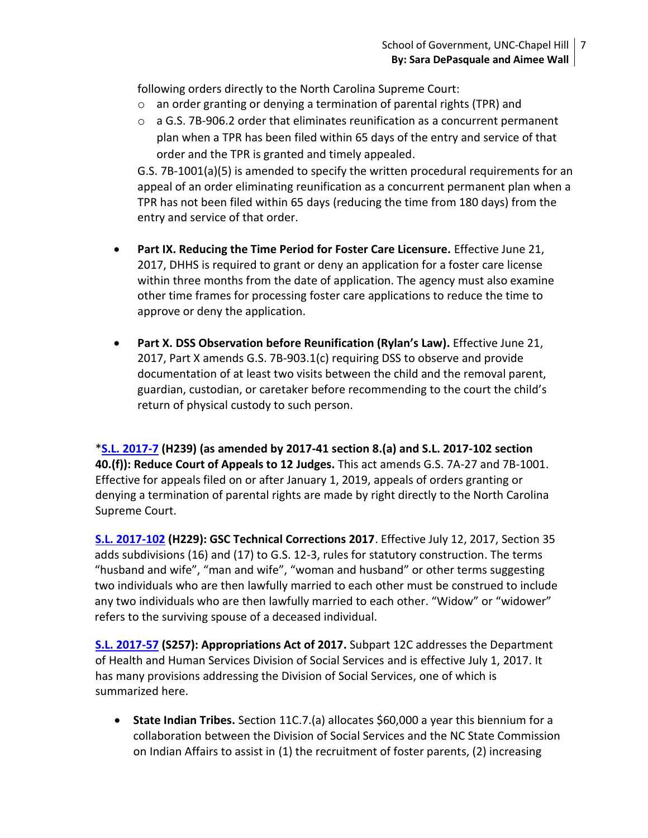following orders directly to the North Carolina Supreme Court:

- o an order granting or denying a termination of parental rights (TPR) and
- $\circ$  a G.S. 7B-906.2 order that eliminates reunification as a concurrent permanent plan when a TPR has been filed within 65 days of the entry and service of that order and the TPR is granted and timely appealed.

G.S. 7B-1001(a)(5) is amended to specify the written procedural requirements for an appeal of an order eliminating reunification as a concurrent permanent plan when a TPR has not been filed within 65 days (reducing the time from 180 days) from the entry and service of that order.

- **•** Part IX. Reducing the Time Period for Foster Care Licensure. Effective June 21, 2017, DHHS is required to grant or deny an application for a foster care license within three months from the date of application. The agency must also examine other time frames for processing foster care applications to reduce the time to approve or deny the application.
- **Part X. DSS Observation before Reunification (Rylan's Law).** Effective June 21, 2017, Part X amends G.S. 7B-903.1(c) requiring DSS to observe and provide documentation of at least two visits between the child and the removal parent, guardian, custodian, or caretaker before recommending to the court the child's return of physical custody to such person.

\***[S.L. 2017-7](http://www.ncleg.net/EnactedLegislation/SessionLaws/HTML/2017-2018/SL2017-7.html) (H239) (as amended by 2017-41 section 8.(a) and S.L. 2017-102 section 40.(f)): Reduce Court of Appeals to 12 Judges.** This act amends G.S. 7A-27 and 7B-1001. Effective for appeals filed on or after January 1, 2019, appeals of orders granting or denying a termination of parental rights are made by right directly to the North Carolina Supreme Court.

**[S.L. 2017-102](http://www.ncleg.net/Sessions/2017/Bills/House/PDF/H229v4.pdf) (H229): GSC Technical Corrections 2017**. Effective July 12, 2017, Section 35 adds subdivisions (16) and (17) to G.S. 12-3, rules for statutory construction. The terms "husband and wife", "man and wife", "woman and husband" or other terms suggesting two individuals who are then lawfully married to each other must be construed to include any two individuals who are then lawfully married to each other. "Widow" or "widower" refers to the surviving spouse of a deceased individual.

**[S.L. 2017-57](http://www.ncleg.net/EnactedLegislation/SessionLaws/HTML/2017-2018/SL2017-57.html) (S257): Appropriations Act of 2017.** Subpart 12C addresses the Department of Health and Human Services Division of Social Services and is effective July 1, 2017. It has many provisions addressing the Division of Social Services, one of which is summarized here.

 **State Indian Tribes.** Section 11C.7.(a) allocates \$60,000 a year this biennium for a collaboration between the Division of Social Services and the NC State Commission on Indian Affairs to assist in (1) the recruitment of foster parents, (2) increasing